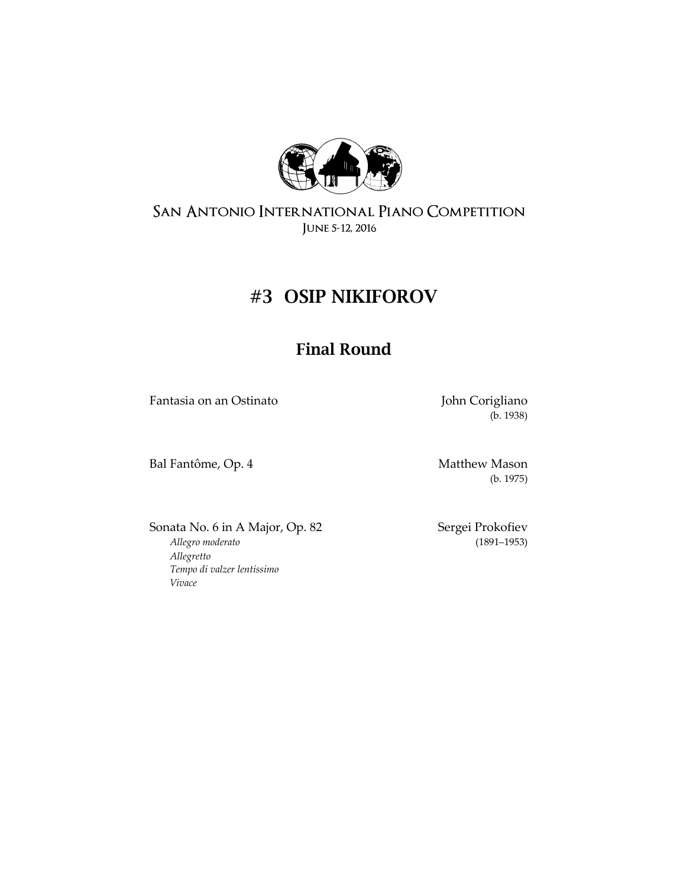

# **#3 OSIP NIKIFOROV**

## **Final Round**

Fantasia on an Ostinato **Fantasia on an Ostinato** John Corigliano

(b. 1938)

Bal Fantôme, Op. 4 Matthew Mason

(b. 1975)

Sonata No. 6 in A Major, Op. 82 Sergei Prokofiev *[Allegro moderato](https://en.wikipedia.org/wiki/Tempo#Italian_tempo_markings)* (1891–1953) *[Allegretto](https://en.wikipedia.org/wiki/Tempo#Italian_tempo_markings) [Tempo di valzer lentissimo](https://en.wikipedia.org/wiki/Tempo#Italian_tempo_markings) [Vivace](https://en.wikipedia.org/wiki/Tempo#Italian_tempo_markings)*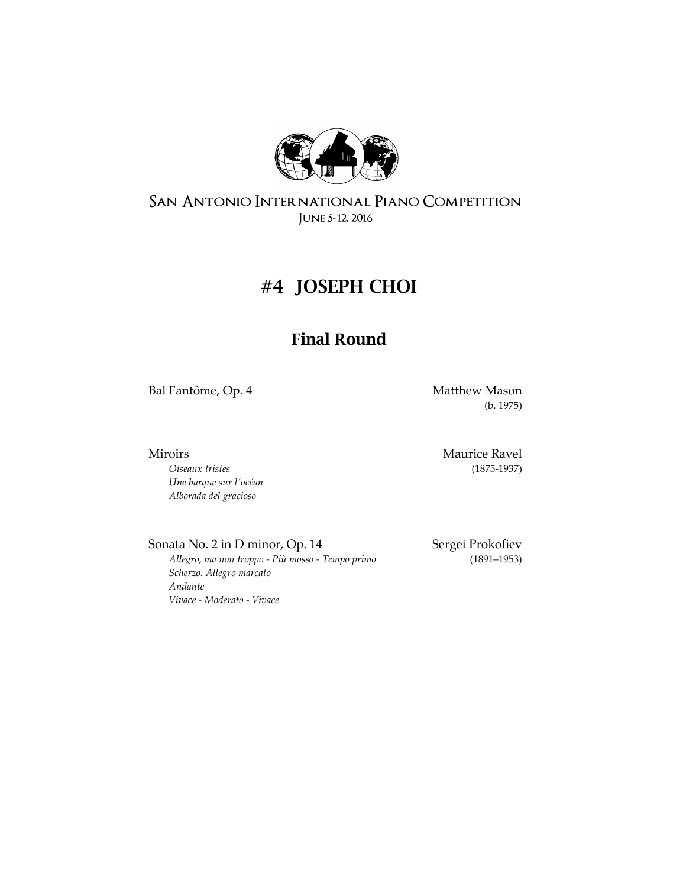

# **#4 JOSEPH CHOI**

### **Final Round**

Bal Fantôme, Op. 4 Matthew Mason

(b. 1975)

*Oiseaux tristes* (1875-1937) *Une barque sur l'océan Alborada del gracioso* 

Miroirs Maurice Ravel

Sonata No. 2 in D minor, Op. 14 Sergei Prokofiev

*[Allegro, ma non troppo -](https://en.wikipedia.org/wiki/Tempo#Italian_tempo_markings) Più mosso - Tempo primo* (1891–1953) *[Scherzo. Allegro marcato](https://en.wikipedia.org/wiki/Tempo#Italian_tempo_markings) [Andante](https://en.wikipedia.org/wiki/Tempo#Italian_tempo_markings) Vivace - [Moderato -](https://en.wikipedia.org/wiki/Tempo#Italian_tempo_markings) Vivace*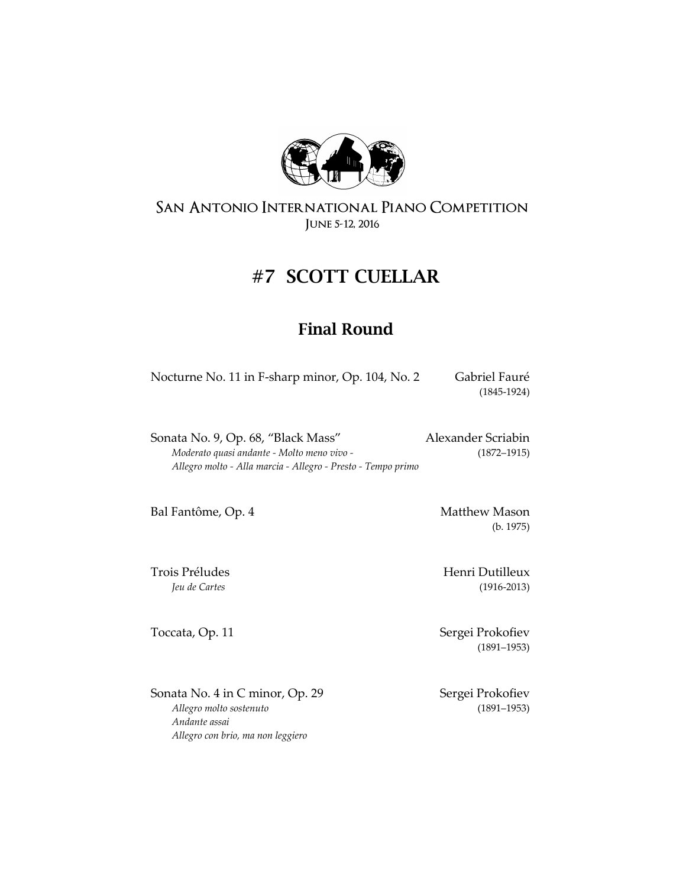

# **#7 SCOTT CUELLAR**

### **Final Round**

| Nocturne No. 11 in F-sharp minor, Op. 104, No. 2 | Gabriel Fauré |
|--------------------------------------------------|---------------|
|                                                  | $(1845-1924)$ |

| Sonata No. 9, Op. 68, "Black Mass"                           | Alexander Scriabin |
|--------------------------------------------------------------|--------------------|
| Moderato quasi andante - Molto meno vivo -                   | $(1872 - 1915)$    |
| Allegro molto - Alla marcia - Allegro - Presto - Tempo primo |                    |

Bal Fantôme, Op. 4 Matthew Mason

Sonata No. 4 in C minor, Op. 29 Sergei Prokofiev *[Allegro molto sostenuto](https://en.wikipedia.org/wiki/Tempo#Italian_tempo_markings)* (1891–1953) *[Andante assai](https://en.wikipedia.org/wiki/Tempo#Italian_tempo_markings) [Allegro con brio, ma non leggiero](https://en.wikipedia.org/wiki/Tempo#Italian_tempo_markings)*

(b. 1975)

Trois Préludes **Henri Dutilleux** *Jeu de Cartes* (1916-2013)

Toccata, Op. 11 Sergei Prokofiev (1891–1953)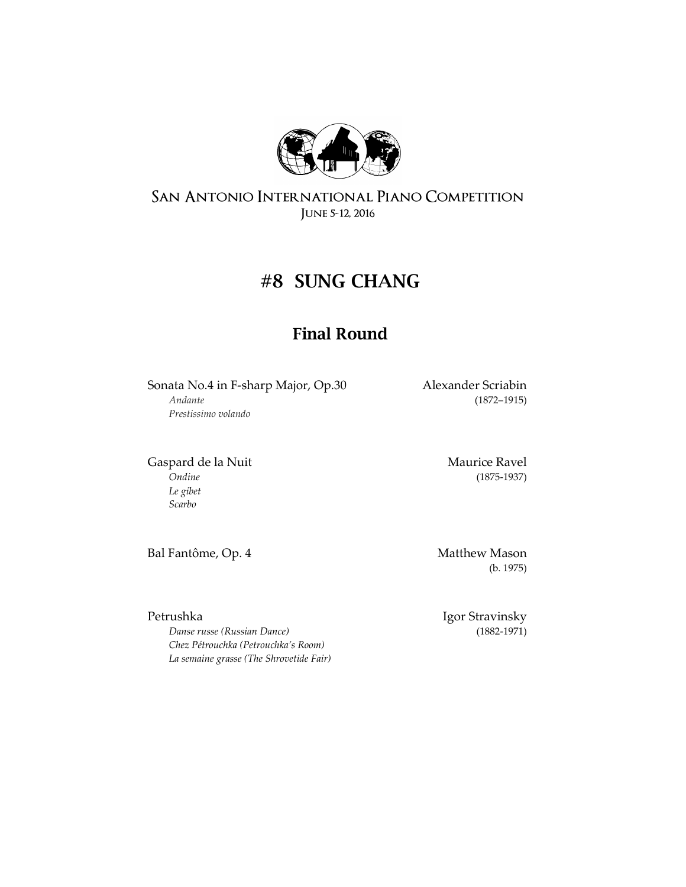

# **#8 SUNG CHANG**

## **Final Round**

Sonata No.4 in F-sharp Major, Op.30 Alexander Scriabin *Andante* (1872–1915) *Prestissimo volando*

Gaspard de la Nuit Naurice Ravel *Ondine* (1875-1937) *Le gibet Scarbo*

Bal Fantôme, Op. 4 Matthew Mason

(b. 1975)

Petrushka Igor Stravinsky

*Danse russe (Russian Dance)* (1882-1971) *Chez Pétrouchka (Petrouchka's Room) La semaine grasse (The Shrovetide Fair)*